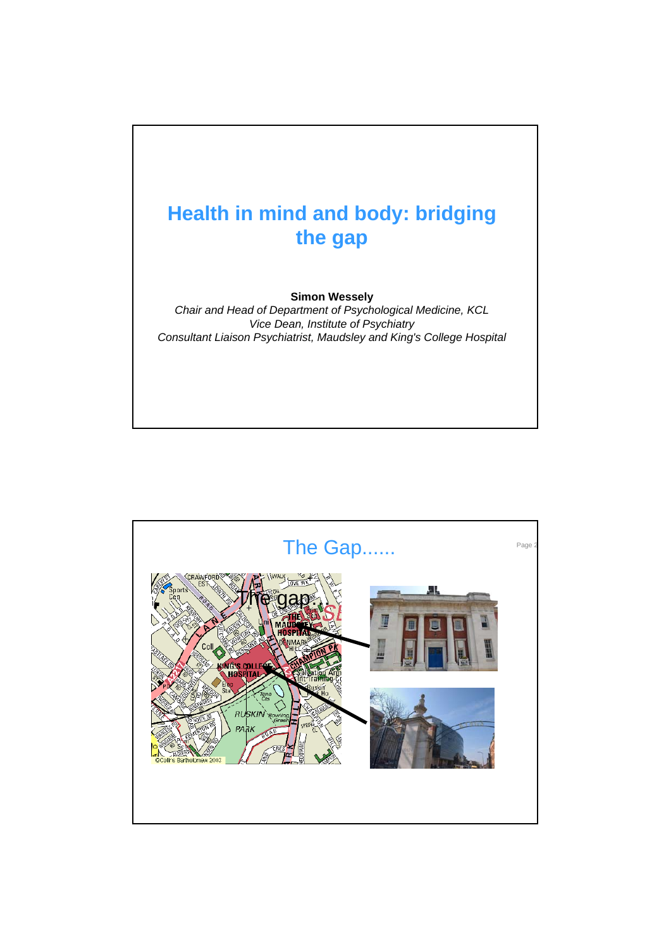

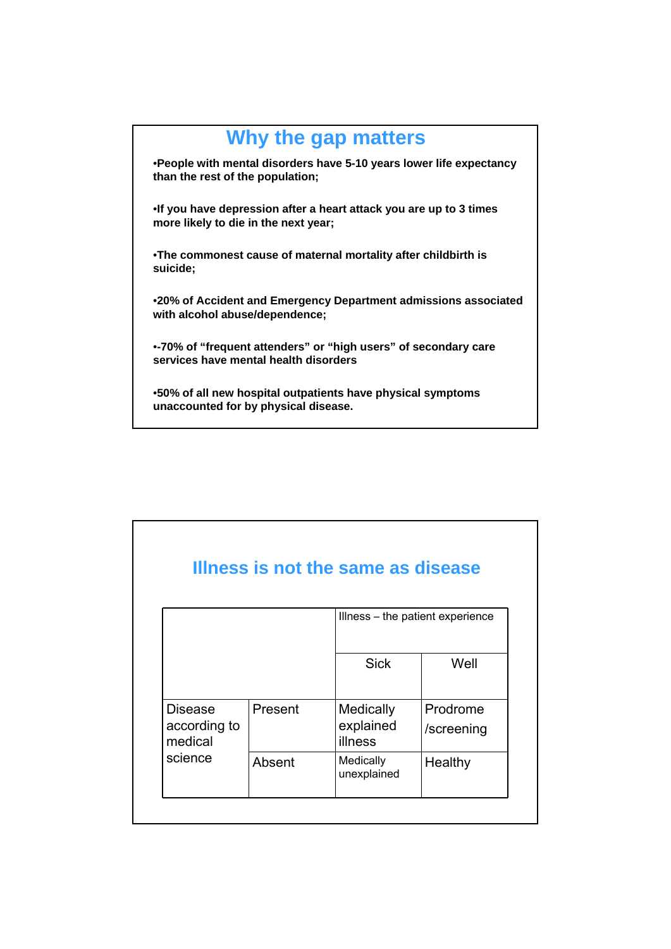## **Why the gap matters** •**People with mental disorders have 5-10 years lower life expectancy than the rest of the population;** •**If you have depression after a heart attack you are up to 3 times more likely to die in the next year;** •**The commonest cause of maternal mortality after childbirth is suicide;** •**20% of Accident and Emergency Department admissions associated with alcohol abuse/dependence;** •**-70% of "frequent attenders" or "high users" of secondary care services have mental health disorders** •**50% of all new hospital outpatients have physical symptoms unaccounted for by physical disease.**

|                                                      |         | Illness - the patient experience  |                        |
|------------------------------------------------------|---------|-----------------------------------|------------------------|
|                                                      |         | <b>Sick</b>                       | Well                   |
| <b>Disease</b><br>according to<br>medical<br>science | Present | Medically<br>explained<br>illness | Prodrome<br>/screening |
|                                                      | Absent  | Medically<br>unexplained          | Healthy                |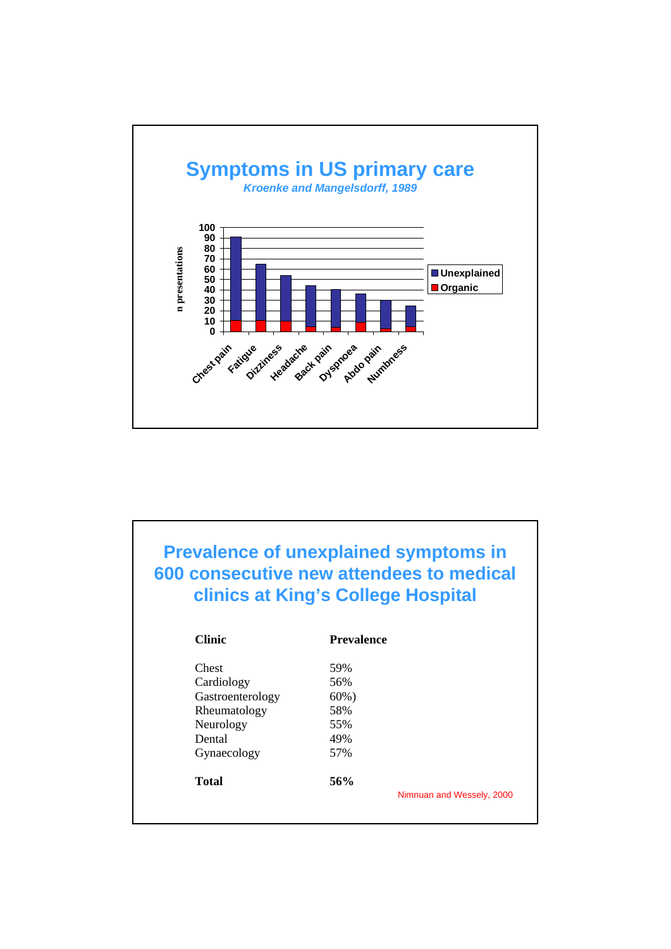

| <b>Prevalence of unexplained symptoms in</b><br>600 consecutive new attendees to medical<br>clinics at King's College Hospital |                                  |  |  |  |  |  |
|--------------------------------------------------------------------------------------------------------------------------------|----------------------------------|--|--|--|--|--|
| <b>Clinic</b>                                                                                                                  | <b>Prevalence</b>                |  |  |  |  |  |
| Chest                                                                                                                          | 59%                              |  |  |  |  |  |
| Cardiology                                                                                                                     | 56%                              |  |  |  |  |  |
| Gastroenterology                                                                                                               | $60\%$ )                         |  |  |  |  |  |
| Rheumatology                                                                                                                   | 58%                              |  |  |  |  |  |
| Neurology                                                                                                                      | 55%                              |  |  |  |  |  |
| Dental                                                                                                                         | 49%                              |  |  |  |  |  |
| Gynaecology                                                                                                                    | 57%                              |  |  |  |  |  |
| Total                                                                                                                          | 56%<br>Nimnuan and Wessely, 2000 |  |  |  |  |  |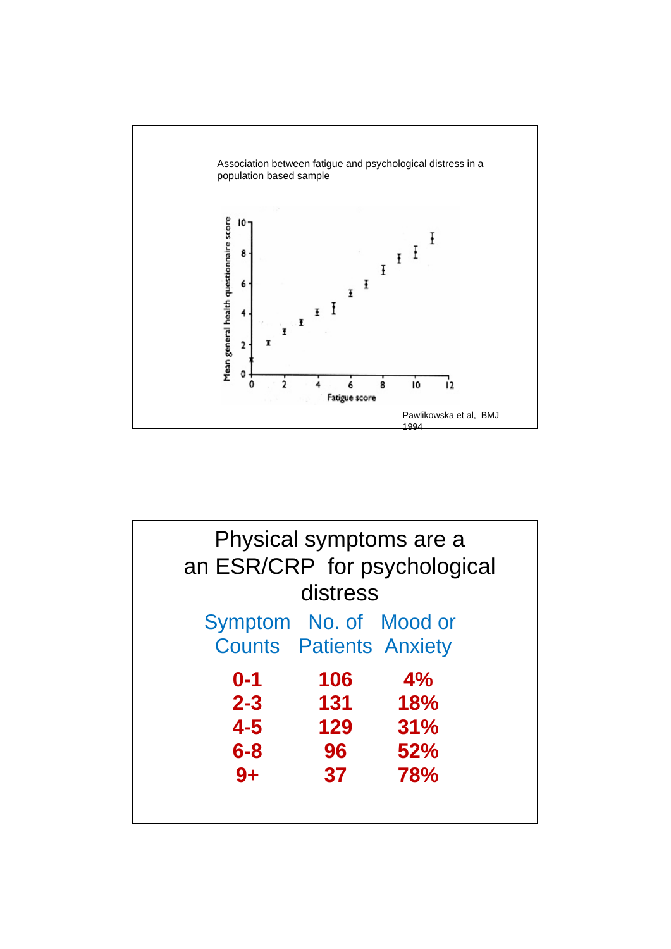

| Physical symptoms are a<br>an ESR/CRP for psychological  |          |            |
|----------------------------------------------------------|----------|------------|
|                                                          |          |            |
|                                                          | distress |            |
| Symptom No. of Mood or<br><b>Counts Patients Anxiety</b> |          |            |
| $0 - 1$                                                  | 106      | 4%         |
| $2 - 3$                                                  | 131      | <b>18%</b> |
| $4 - 5$                                                  | 129      | 31%        |
| $6 - 8$                                                  | 96       | 52%        |
| $9+$                                                     | 37       | 78%        |
|                                                          |          |            |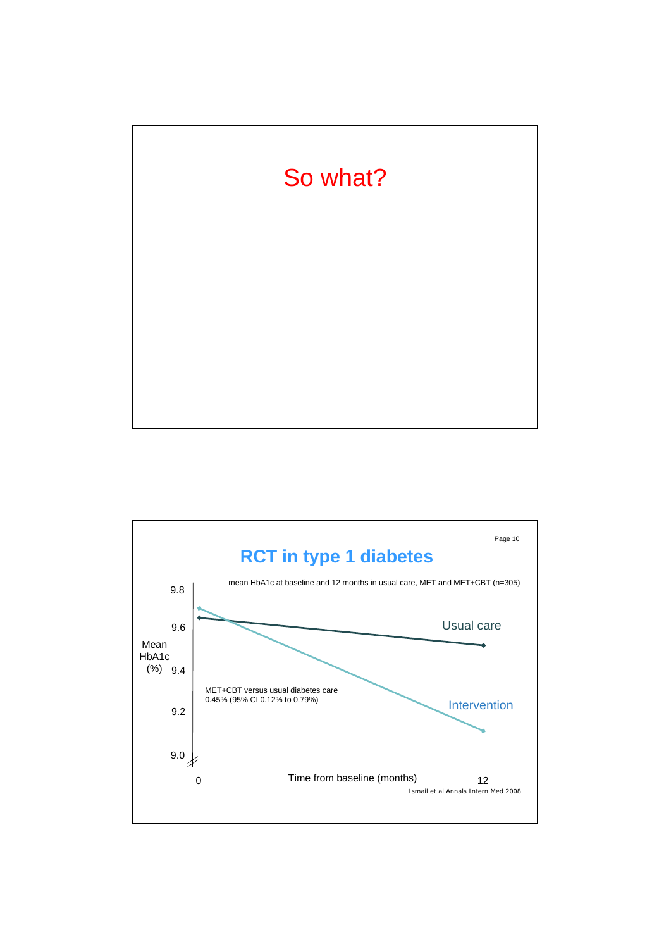

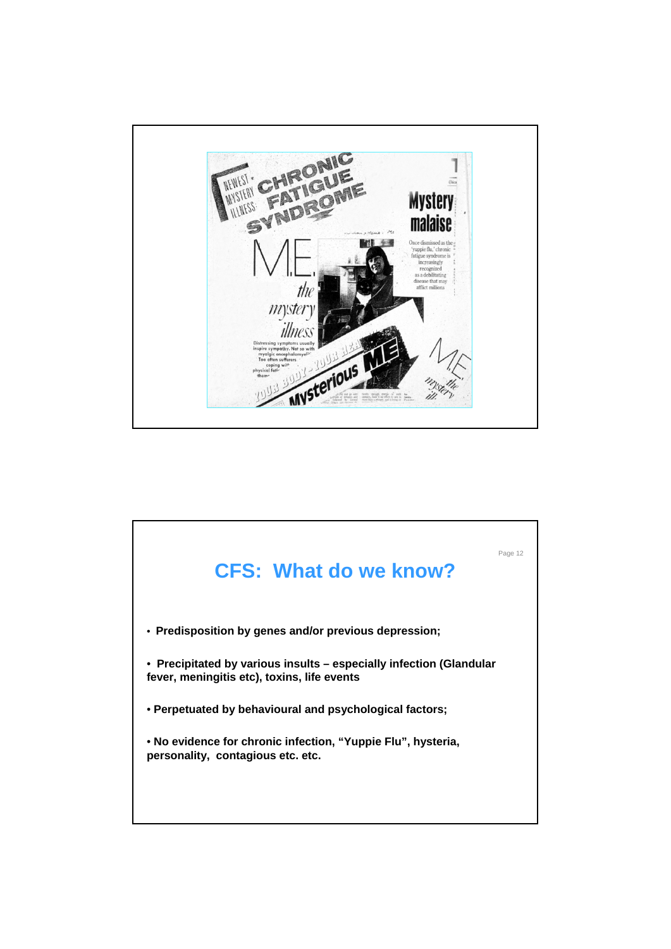

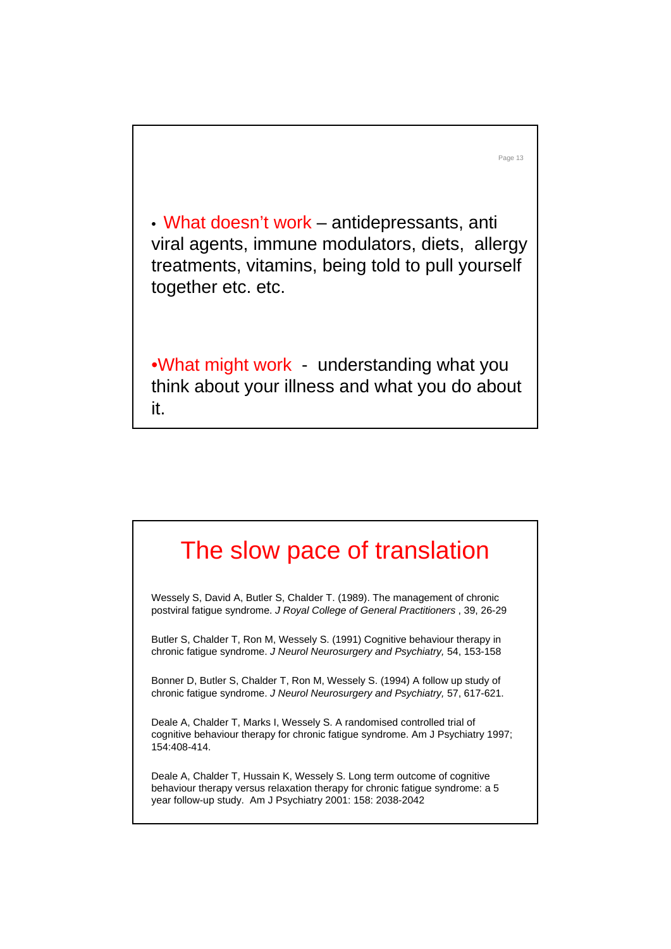• What doesn't work – antidepressants, anti viral agents, immune modulators, diets, allergy treatments, vitamins, being told to pull yourself together etc. etc.

Page 13

•What might work - understanding what you think about your illness and what you do about it.

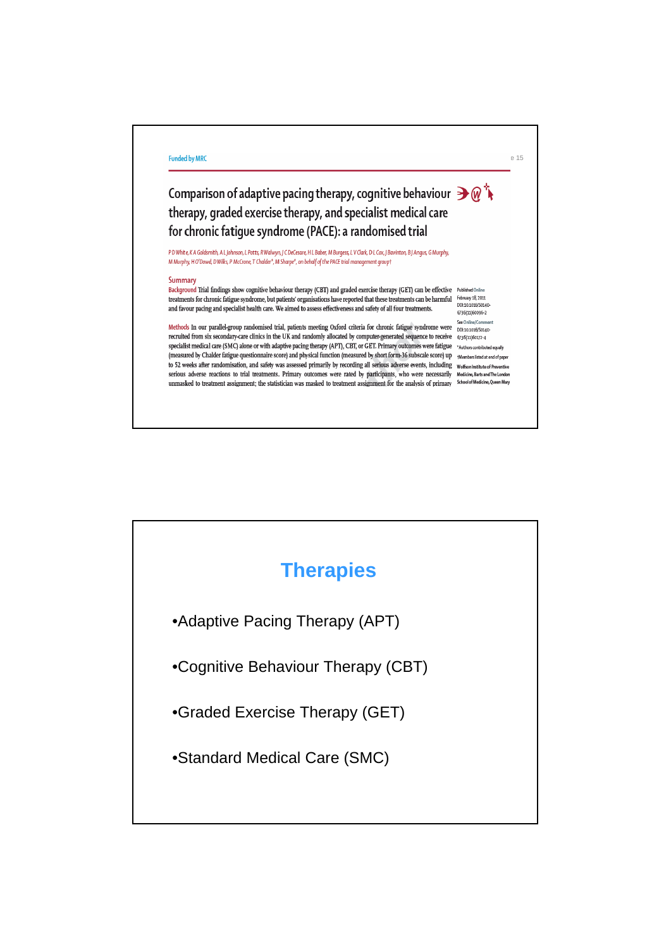

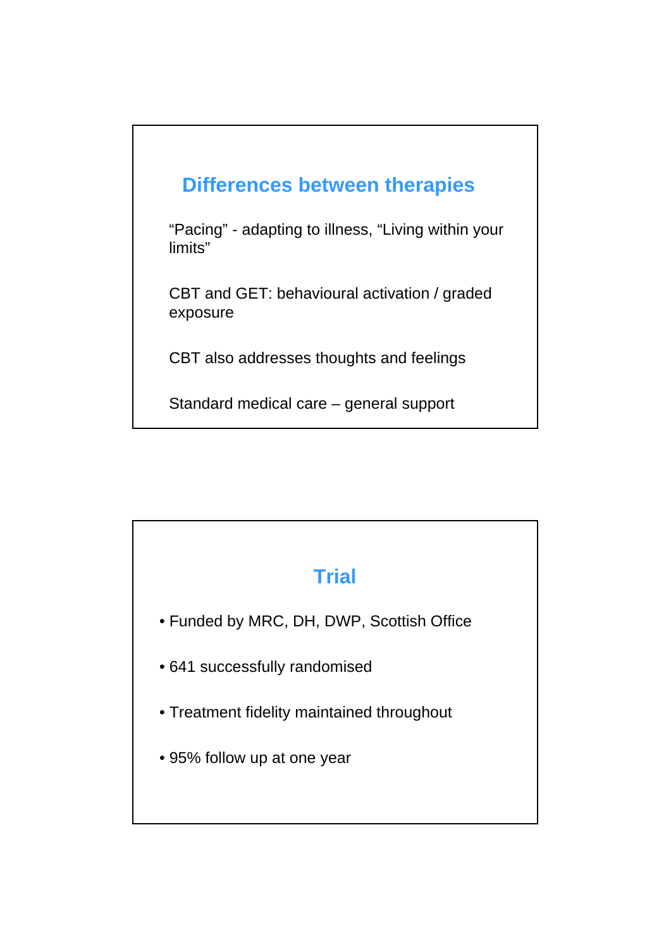

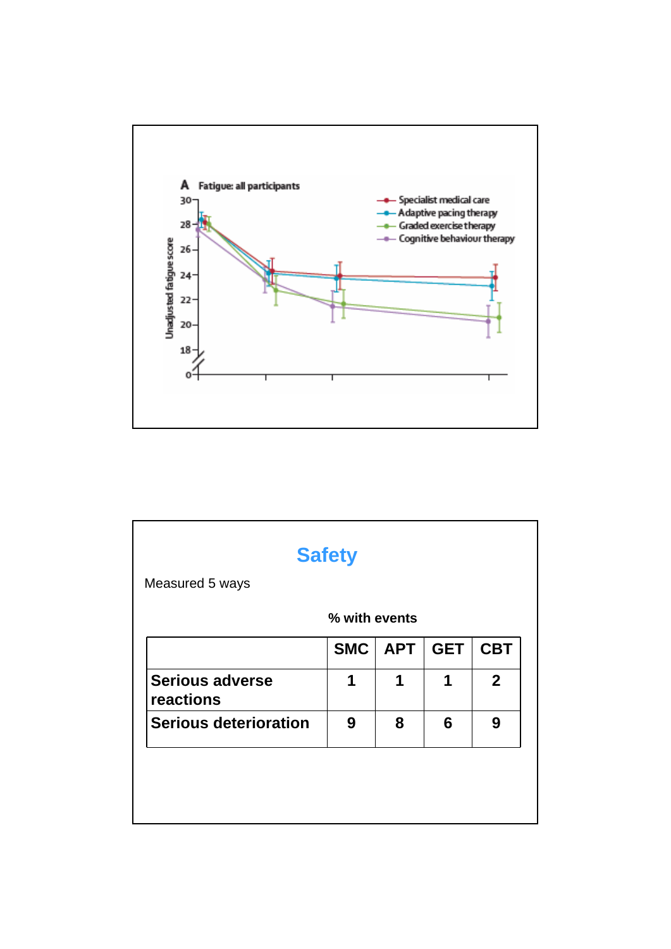

|                                     | % with events |            |            |              |
|-------------------------------------|---------------|------------|------------|--------------|
|                                     | <b>SMC</b>    | <b>APT</b> | <b>GET</b> | <b>CBT</b>   |
| <b>Serious adverse</b><br>reactions | 1             | 1          | 1          | $\mathbf{2}$ |
| <b>Serious deterioration</b>        | 9             | 8          | 6          | 9            |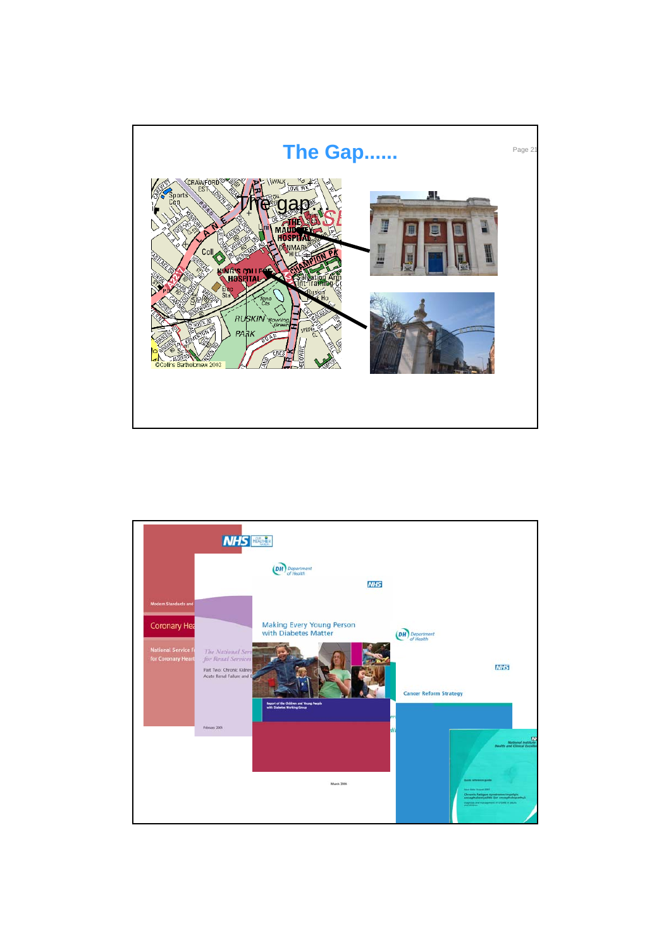